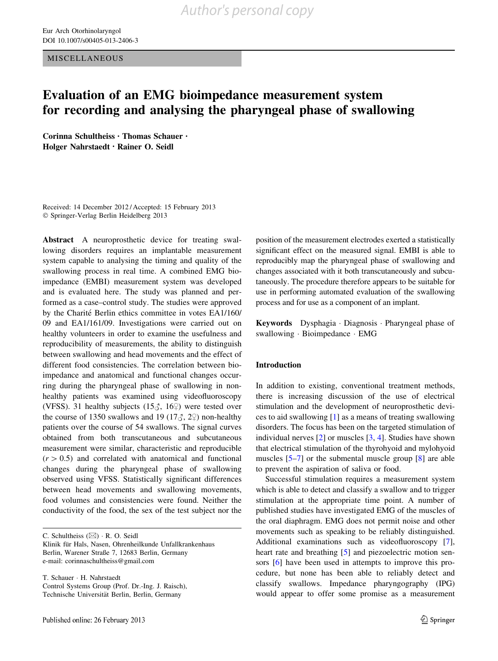MISCELLANEOUS

# Evaluation of an EMG bioimpedance measurement system for recording and analysing the pharyngeal phase of swallowing

Corinna Schultheiss • Thomas Schauer • Holger Nahrstaedt • Rainer O. Seidl

Received: 14 December 2012 / Accepted: 15 February 2013 - Springer-Verlag Berlin Heidelberg 2013

Abstract A neuroprosthetic device for treating swallowing disorders requires an implantable measurement system capable to analysing the timing and quality of the swallowing process in real time. A combined EMG bioimpedance (EMBI) measurement system was developed and is evaluated here. The study was planned and performed as a case–control study. The studies were approved by the Charité Berlin ethics committee in votes EA1/160/ 09 and EA1/161/09. Investigations were carried out on healthy volunteers in order to examine the usefulness and reproducibility of measurements, the ability to distinguish between swallowing and head movements and the effect of different food consistencies. The correlation between bioimpedance and anatomical and functional changes occurring during the pharyngeal phase of swallowing in nonhealthy patients was examined using videofluoroscopy (VFSS). 31 healthy subjects (15 $\zeta$ , 16 $\hat{\psi}$ ) were tested over the course of 1350 swallows and 19 (17 $\zeta$ , 2 $\ddot{\zeta}$ ) non-healthy patients over the course of 54 swallows. The signal curves obtained from both transcutaneous and subcutaneous measurement were similar, characteristic and reproducible  $(r > 0.5)$  and correlated with anatomical and functional changes during the pharyngeal phase of swallowing observed using VFSS. Statistically significant differences between head movements and swallowing movements, food volumes and consistencies were found. Neither the conductivity of the food, the sex of the test subject nor the

C. Schultheiss  $(\boxtimes) \cdot R$ . O. Seidl Klinik für Hals, Nasen, Ohrenheilkunde Unfallkrankenhaus Berlin, Warener Straße 7, 12683 Berlin, Germany e-mail: corinnaschultheiss@gmail.com

T. Schauer - H. Nahrstaedt Control Systems Group (Prof. Dr.-Ing. J. Raisch), Technische Universität Berlin, Berlin, Germany

position of the measurement electrodes exerted a statistically significant effect on the measured signal. EMBI is able to reproducibly map the pharyngeal phase of swallowing and changes associated with it both transcutaneously and subcutaneously. The procedure therefore appears to be suitable for use in performing automated evaluation of the swallowing process and for use as a component of an implant.

Keywords Dysphagia - Diagnosis - Pharyngeal phase of swallowing - Bioimpedance - EMG

## Introduction

In addition to existing, conventional treatment methods, there is increasing discussion of the use of electrical stimulation and the development of neuroprosthetic devices to aid swallowing [\[1](#page-6-0)] as a means of treating swallowing disorders. The focus has been on the targeted stimulation of individual nerves  $[2]$  $[2]$  or muscles  $[3, 4]$  $[3, 4]$  $[3, 4]$  $[3, 4]$ . Studies have shown that electrical stimulation of the thyrohyoid and mylohyoid muscles [\[5–7](#page-6-0)] or the submental muscle group [\[8](#page-6-0)] are able to prevent the aspiration of saliva or food.

Successful stimulation requires a measurement system which is able to detect and classify a swallow and to trigger stimulation at the appropriate time point. A number of published studies have investigated EMG of the muscles of the oral diaphragm. EMG does not permit noise and other movements such as speaking to be reliably distinguished. Additional examinations such as videofluoroscopy [\[7](#page-6-0)], heart rate and breathing [[5](#page-6-0)] and piezoelectric motion sensors [\[6](#page-6-0)] have been used in attempts to improve this procedure, but none has been able to reliably detect and classify swallows. Impedance pharyngography (IPG) would appear to offer some promise as a measurement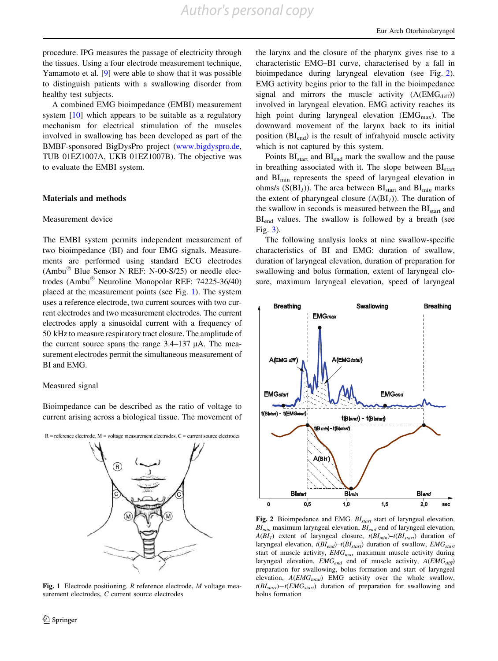procedure. IPG measures the passage of electricity through the tissues. Using a four electrode measurement technique, Yamamoto et al. [\[9](#page-7-0)] were able to show that it was possible to distinguish patients with a swallowing disorder from healthy test subjects.

A combined EMG bioimpedance (EMBI) measurement system [\[10](#page-7-0)] which appears to be suitable as a regulatory mechanism for electrical stimulation of the muscles involved in swallowing has been developed as part of the BMBF-sponsored BigDysPro project ([www.bigdyspro.de,](http://www.bigdyspro.de) TUB 01EZ1007A, UKB 01EZ1007B). The objective was to evaluate the EMBI system.

#### Materials and methods

#### Measurement device

The EMBI system permits independent measurement of two bioimpedance (BI) and four EMG signals. Measurements are performed using standard ECG electrodes  $(Ambu^{\circledR}$  Blue Sensor N REF: N-00-S/25) or needle electrodes (Ambu<sup>®</sup> Neuroline Monopolar REF: 74225-36/40) placed at the measurement points (see Fig. 1). The system uses a reference electrode, two current sources with two current electrodes and two measurement electrodes. The current electrodes apply a sinusoidal current with a frequency of 50 kHz to measure respiratory tract closure. The amplitude of the current source spans the range  $3.4-137 \mu A$ . The measurement electrodes permit the simultaneous measurement of BI and EMG.

#### Measured signal

Bioimpedance can be described as the ratio of voltage to current arising across a biological tissue. The movement of





Fig. 1 Electrode positioning. R reference electrode, M voltage measurement electrodes, C current source electrodes

the larynx and the closure of the pharynx gives rise to a characteristic EMG–BI curve, characterised by a fall in bioimpedance during laryngeal elevation (see Fig. 2). EMG activity begins prior to the fall in the bioimpedance signal and mirrors the muscle activity  $(A(EMG<sub>diff</sub>)))$ involved in laryngeal elevation. EMG activity reaches its high point during laryngeal elevation ( $EMG<sub>max</sub>$ ). The downward movement of the larynx back to its initial position  $(BI_{end})$  is the result of infrahyoid muscle activity which is not captured by this system.

Points BI<sub>start</sub> and BI<sub>end</sub> mark the swallow and the pause in breathing associated with it. The slope between  $BI<sub>start</sub>$ and  $BI_{\text{min}}$  represents the speed of laryngeal elevation in ohms/s ( $S(BI_1)$ ). The area between  $BI_{start}$  and  $BI_{min}$  marks the extent of pharyngeal closure  $(A(BI<sub>I</sub>))$ . The duration of the swallow in seconds is measured between the  $BI<sub>start</sub>$  and BI<sub>end</sub> values. The swallow is followed by a breath (see Fig. [3](#page-2-0)).

The following analysis looks at nine swallow-specific characteristics of BI and EMG: duration of swallow, duration of laryngeal elevation, duration of preparation for swallowing and bolus formation, extent of laryngeal closure, maximum laryngeal elevation, speed of laryngeal



Fig. 2 Bioimpedance and EMG. BI<sub>start</sub> start of laryngeal elevation,  $BI_{min}$  maximum laryngeal elevation,  $BI_{end}$  end of laryngeal elevation,  $A(BI_1)$  extent of laryngeal closure,  $t(BI_{min})-t(BI_{start})$  duration of laryngeal elevation,  $t(BI_{end})-t(BI_{start})$  duration of swallow,  $EMG_{start}$ start of muscle activity,  $EMG<sub>max</sub>$  maximum muscle activity during laryngeal elevation,  $EMG_{end}$  end of muscle activity,  $A(EMG_{diff})$ preparation for swallowing, bolus formation and start of laryngeal elevation,  $A(EMG_{total})$  EMG activity over the whole swallow,  $t(BI<sub>start</sub>)-t(EMG<sub>start</sub>)$  duration of preparation for swallowing and bolus formation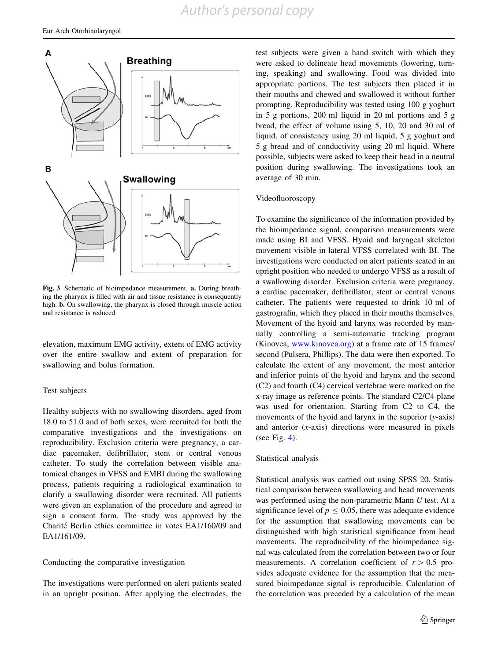<span id="page-2-0"></span>

Fig. 3 Schematic of bioimpedance measurement. a. During breathing the pharynx is filled with air and tissue resistance is consequently high. b. On swallowing, the pharynx is closed through muscle action and resistance is reduced

elevation, maximum EMG activity, extent of EMG activity over the entire swallow and extent of preparation for swallowing and bolus formation.

## Test subjects

Healthy subjects with no swallowing disorders, aged from 18.0 to 51.0 and of both sexes, were recruited for both the comparative investigations and the investigations on reproducibility. Exclusion criteria were pregnancy, a cardiac pacemaker, defibrillator, stent or central venous catheter. To study the correlation between visible anatomical changes in VFSS and EMBI during the swallowing process, patients requiring a radiological examination to clarify a swallowing disorder were recruited. All patients were given an explanation of the procedure and agreed to sign a consent form. The study was approved by the Charité Berlin ethics committee in votes EA1/160/09 and EA1/161/09.

## Conducting the comparative investigation

The investigations were performed on alert patients seated in an upright position. After applying the electrodes, the test subjects were given a hand switch with which they were asked to delineate head movements (lowering, turning, speaking) and swallowing. Food was divided into appropriate portions. The test subjects then placed it in their mouths and chewed and swallowed it without further prompting. Reproducibility was tested using 100 g yoghurt in 5 g portions, 200 ml liquid in 20 ml portions and 5 g bread, the effect of volume using 5, 10, 20 and 30 ml of liquid, of consistency using 20 ml liquid, 5 g yoghurt and 5 g bread and of conductivity using 20 ml liquid. Where possible, subjects were asked to keep their head in a neutral position during swallowing. The investigations took an average of 30 min.

## Videofluoroscopy

To examine the significance of the information provided by the bioimpedance signal, comparison measurements were made using BI and VFSS. Hyoid and laryngeal skeleton movement visible in lateral VFSS correlated with BI. The investigations were conducted on alert patients seated in an upright position who needed to undergo VFSS as a result of a swallowing disorder. Exclusion criteria were pregnancy, a cardiac pacemaker, defibrillator, stent or central venous catheter. The patients were requested to drink 10 ml of gastrografin, which they placed in their mouths themselves. Movement of the hyoid and larynx was recorded by manually controlling a semi-automatic tracking program (Kinovea, [www.kinovea.org](http://www.kinovea.org)) at a frame rate of 15 frames/ second (Pulsera, Phillips). The data were then exported. To calculate the extent of any movement, the most anterior and inferior points of the hyoid and larynx and the second (C2) and fourth (C4) cervical vertebrae were marked on the x-ray image as reference points. The standard C2/C4 plane was used for orientation. Starting from C2 to C4, the movements of the hyoid and larynx in the superior (y-axis) and anterior (x-axis) directions were measured in pixels (see Fig. [4\)](#page-3-0).

#### Statistical analysis

Statistical analysis was carried out using SPSS 20. Statistical comparison between swallowing and head movements was performed using the non-parametric Mann U test. At a significance level of  $p \le 0.05$ , there was adequate evidence for the assumption that swallowing movements can be distinguished with high statistical significance from head movements. The reproducibility of the bioimpedance signal was calculated from the correlation between two or four measurements. A correlation coefficient of  $r > 0.5$  provides adequate evidence for the assumption that the measured bioimpedance signal is reproducible. Calculation of the correlation was preceded by a calculation of the mean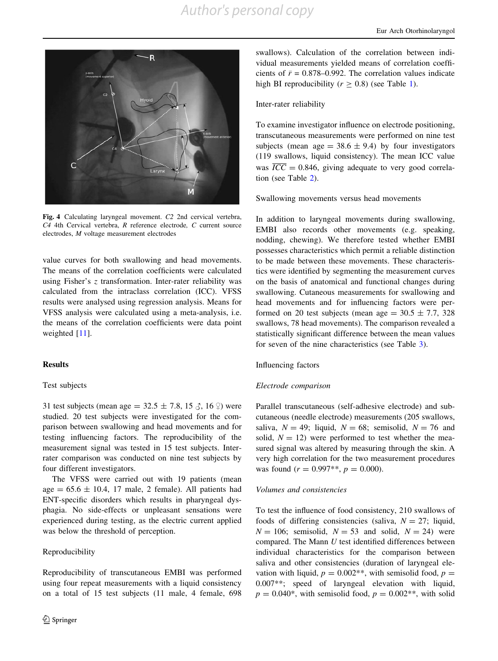<span id="page-3-0"></span>

Fig. 4 Calculating laryngeal movement. C2 2nd cervical vertebra, C4 4th Cervical vertebra, R reference electrode, C current source electrodes, M voltage measurement electrodes

value curves for both swallowing and head movements. The means of the correlation coefficients were calculated using Fisher's  $z$  transformation. Inter-rater reliability was calculated from the intraclass correlation (ICC). VFSS results were analysed using regression analysis. Means for VFSS analysis were calculated using a meta-analysis, i.e. the means of the correlation coefficients were data point weighted [\[11](#page-7-0)].

## Results

#### Test subjects

31 test subjects (mean age =  $32.5 \pm 7.8$ , 15  $\delta$ , 16  $\Omega$ ) were studied. 20 test subjects were investigated for the comparison between swallowing and head movements and for testing influencing factors. The reproducibility of the measurement signal was tested in 15 test subjects. Interrater comparison was conducted on nine test subjects by four different investigators.

The VFSS were carried out with 19 patients (mean age  $= 65.6 \pm 10.4$ , 17 male, 2 female). All patients had ENT-specific disorders which results in pharyngeal dysphagia. No side-effects or unpleasant sensations were experienced during testing, as the electric current applied was below the threshold of perception.

## Reproducibility

Reproducibility of transcutaneous EMBI was performed using four repeat measurements with a liquid consistency on a total of 15 test subjects (11 male, 4 female, 698 swallows). Calculation of the correlation between individual measurements yielded means of correlation coefficients of  $\bar{r} = 0.878{\text -}0.992$ . The correlation values indicate high BI reproducibility ( $r \ge 0.8$ ) (see Table [1](#page-4-0)).

#### Inter-rater reliability

To examine investigator influence on electrode positioning, transcutaneous measurements were performed on nine test subjects (mean age =  $38.6 \pm 9.4$ ) by four investigators (119 swallows, liquid consistency). The mean ICC value was  $\overline{ICC} = 0.846$ , giving adequate to very good correlation (see Table [2\)](#page-4-0).

Swallowing movements versus head movements

In addition to laryngeal movements during swallowing, EMBI also records other movements (e.g. speaking, nodding, chewing). We therefore tested whether EMBI possesses characteristics which permit a reliable distinction to be made between these movements. These characteristics were identified by segmenting the measurement curves on the basis of anatomical and functional changes during swallowing. Cutaneous measurements for swallowing and head movements and for influencing factors were performed on 20 test subjects (mean age =  $30.5 \pm 7.7$ , 328 swallows, 78 head movements). The comparison revealed a statistically significant difference between the mean values for seven of the nine characteristics (see Table [3](#page-5-0)).

### Influencing factors

#### Electrode comparison

Parallel transcutaneous (self-adhesive electrode) and subcutaneous (needle electrode) measurements (205 swallows, saliva,  $N = 49$ ; liquid,  $N = 68$ ; semisolid,  $N = 76$  and solid,  $N = 12$ ) were performed to test whether the measured signal was altered by measuring through the skin. A very high correlation for the two measurement procedures was found ( $r = 0.997**$ ,  $p = 0.000$ ).

#### Volumes and consistencies

To test the influence of food consistency, 210 swallows of foods of differing consistencies (saliva,  $N = 27$ ; liquid,  $N = 106$ ; semisolid,  $N = 53$  and solid,  $N = 24$ ) were compared. The Mann U test identified differences between individual characteristics for the comparison between saliva and other consistencies (duration of laryngeal elevation with liquid,  $p = 0.002**$ , with semisolid food,  $p =$ 0.007\*\*; speed of laryngeal elevation with liquid,  $p = 0.040^*$ , with semisolid food,  $p = 0.002^{**}$ , with solid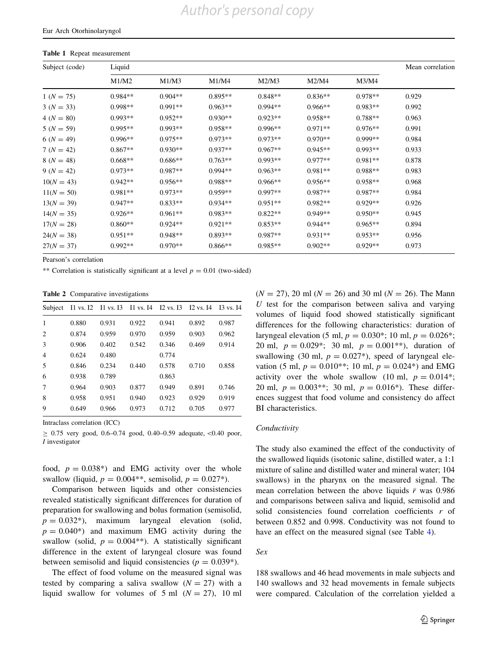#### <span id="page-4-0"></span>Table 1 Repeat measurement

| Subject (code) | Liquid    | Mean correlation |           |           |           |           |       |
|----------------|-----------|------------------|-----------|-----------|-----------|-----------|-------|
|                | M1/M2     | M1/M3            | M1/M4     | M2/M3     | M2/M4     | M3/M4     |       |
| $1 (N = 75)$   | $0.984**$ | $0.904**$        | $0.895**$ | $0.848**$ | $0.836**$ | $0.978**$ | 0.929 |
| $3 (N = 33)$   | $0.998**$ | $0.991**$        | $0.963**$ | $0.994**$ | $0.966**$ | $0.983**$ | 0.992 |
| $4(N = 80)$    | $0.993**$ | $0.952**$        | $0.930**$ | $0.923**$ | $0.958**$ | $0.788**$ | 0.963 |
| $5 (N = 59)$   | $0.995**$ | $0.993**$        | $0.958**$ | $0.996**$ | $0.971**$ | $0.976**$ | 0.991 |
| $6 (N = 49)$   | $0.996**$ | $0.975**$        | $0.973**$ | $0.973**$ | $0.970**$ | $0.999**$ | 0.984 |
| $7 (N = 42)$   | $0.867**$ | $0.930**$        | $0.937**$ | $0.967**$ | $0.945**$ | $0.993**$ | 0.933 |
| $8(N = 48)$    | $0.668**$ | $0.686**$        | $0.763**$ | $0.993**$ | $0.977**$ | $0.981**$ | 0.878 |
| $9(N = 42)$    | $0.973**$ | $0.987**$        | $0.994**$ | $0.963**$ | $0.981**$ | $0.988**$ | 0.983 |
| $10(N = 43)$   | $0.942**$ | $0.956**$        | $0.988**$ | $0.966**$ | $0.956**$ | $0.958**$ | 0.968 |
| $11(N = 50)$   | $0.981**$ | $0.973**$        | $0.959**$ | $0.997**$ | $0.987**$ | $0.987**$ | 0.984 |
| $13(N = 39)$   | $0.947**$ | $0.833**$        | $0.934**$ | $0.951**$ | $0.982**$ | $0.929**$ | 0.926 |
| $14(N = 35)$   | $0.926**$ | $0.961**$        | $0.983**$ | $0.822**$ | $0.949**$ | $0.950**$ | 0.945 |
| $17(N = 28)$   | $0.860**$ | $0.924**$        | $0.921**$ | $0.853**$ | $0.944**$ | $0.965**$ | 0.894 |
| $24(N = 38)$   | $0.951**$ | $0.948**$        | $0.893**$ | $0.987**$ | $0.931**$ | $0.953**$ | 0.956 |
| $27(N = 37)$   | $0.992**$ | $0.970**$        | $0.866**$ | $0.985**$ | $0.902**$ | $0.929**$ | 0.973 |

Pearson's correlation

\*\* Correlation is statistically significant at a level  $p = 0.01$  (two-sided)

Table 2 Comparative investigations

| Subject        |       |       |       | I1 vs. I2 I1 vs. I3 I1 vs. I4 I2 vs. I3 I2 vs. I4 |       | $I3$ vs. $I4$ |
|----------------|-------|-------|-------|---------------------------------------------------|-------|---------------|
| 1              | 0.880 | 0.931 | 0.922 | 0.941                                             | 0.892 | 0.987         |
| 2              | 0.874 | 0.959 | 0.970 | 0.959                                             | 0.903 | 0.962         |
| 3              | 0.906 | 0.402 | 0.542 | 0.346                                             | 0.469 | 0.914         |
| $\overline{4}$ | 0.624 | 0.480 |       | 0.774                                             |       |               |
| 5              | 0.846 | 0.234 | 0.440 | 0.578                                             | 0.710 | 0.858         |
| 6              | 0.938 | 0.789 |       | 0.863                                             |       |               |
| 7              | 0.964 | 0.903 | 0.877 | 0.949                                             | 0.891 | 0.746         |
| 8              | 0.958 | 0.951 | 0.940 | 0.923                                             | 0.929 | 0.919         |
| 9              | 0.649 | 0.966 | 0.973 | 0.712                                             | 0.705 | 0.977         |

Intraclass correlation (ICC)

 $\geq 0.75$  very good, 0.6–0.74 good, 0.40–0.59 adequate, <0.40 poor, I investigator

food,  $p = 0.038^*$  and EMG activity over the whole swallow (liquid,  $p = 0.004**$ , semisolid,  $p = 0.027*$ ).

Comparison between liquids and other consistencies revealed statistically significant differences for duration of preparation for swallowing and bolus formation (semisolid,  $p = 0.032^*$ ), maximum laryngeal elevation (solid,  $p = 0.040^*$  and maximum EMG activity during the swallow (solid,  $p = 0.004**$ ). A statistically significant difference in the extent of laryngeal closure was found between semisolid and liquid consistencies ( $p = 0.039^*$ ).

The effect of food volume on the measured signal was tested by comparing a saliva swallow  $(N = 27)$  with a liquid swallow for volumes of 5 ml  $(N = 27)$ , 10 ml  $(N = 27)$ , 20 ml  $(N = 26)$  and 30 ml  $(N = 26)$ . The Mann  $U$  test for the comparison between saliva and varying volumes of liquid food showed statistically significant differences for the following characteristics: duration of laryngeal elevation (5 ml,  $p = 0.030^*$ ; 10 ml,  $p = 0.026^*$ ; 20 ml,  $p = 0.029^*$ ; 30 ml,  $p = 0.001^{**}$ , duration of swallowing (30 ml,  $p = 0.027^*$ ), speed of laryngeal elevation (5 ml,  $p = 0.010^{**}$ ; 10 ml,  $p = 0.024^{*}$ ) and EMG activity over the whole swallow (10 ml,  $p = 0.014$ <sup>\*</sup>; 20 ml,  $p = 0.003$ \*\*; 30 ml,  $p = 0.016$ \*). These differences suggest that food volume and consistency do affect BI characteristics.

#### **Conductivity**

The study also examined the effect of the conductivity of the swallowed liquids (isotonic saline, distilled water, a 1:1 mixture of saline and distilled water and mineral water; 104 swallows) in the pharynx on the measured signal. The mean correlation between the above liquids  $\bar{r}$  was 0.986 and comparisons between saliva and liquid, semisolid and solid consistencies found correlation coefficients r of between 0.852 and 0.998. Conductivity was not found to have an effect on the measured signal (see Table [4\)](#page-5-0).

#### Sex

188 swallows and 46 head movements in male subjects and 140 swallows and 32 head movements in female subjects were compared. Calculation of the correlation yielded a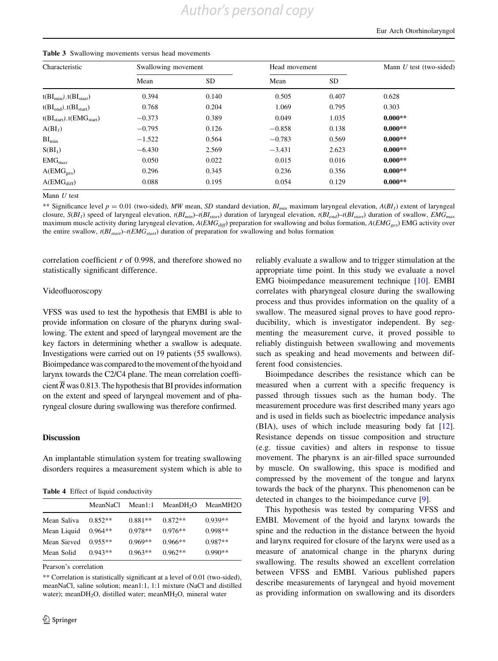| Characteristic              | Swallowing movement |           | Head movement |           | Mann $U$ test (two-sided) |  |
|-----------------------------|---------------------|-----------|---------------|-----------|---------------------------|--|
|                             | Mean                | <b>SD</b> | Mean          | <b>SD</b> |                           |  |
| $t(BI_{min})_t(BI_{start})$ | 0.394               | 0.140     | 0.505         | 0.407     | 0.628                     |  |
| $t(BI_{end})_t(BI_{start})$ | 0.768               | 0.204     | 1.069         | 0.795     | 0.303                     |  |
| $t(BIstart)_t(EMGstart)$    | $-0.373$            | 0.389     | 0.049         | 1.035     | $0.000**$                 |  |
| $A(BI_1)$                   | $-0.795$            | 0.126     | $-0.858$      | 0.138     | $0.000**$                 |  |
| $BI_{min}$                  | $-1.522$            | 0.564     | $-0.783$      | 0.569     | $0.000**$                 |  |
| $S(BI_1)$                   | $-6.430$            | 2.569     | $-3.431$      | 2.623     | $0.000**$                 |  |
| EMG <sub>max</sub>          | 0.050               | 0.022     | 0.015         | 0.016     | $0.000**$                 |  |
| $A(EMG_{ges})$              | 0.296               | 0.345     | 0.236         | 0.356     | $0.000**$                 |  |
| $A(EMG_{diff})$             | 0.088               | 0.195     | 0.054         | 0.129     | $0.000**$                 |  |

<span id="page-5-0"></span>Table 3 Swallowing movements versus head movements

Mann U test

\*\* Significance level  $p = 0.01$  (two-sided), MW mean, SD standard deviation,  $BI_{min}$  maximum laryngeal elevation,  $A(BI_1)$  extent of laryngeal closure,  $S(BI_1)$  speed of laryngeal elevation,  $t(BI_{min})-t(BI_{Star})$  duration of laryngeal elevation,  $t(BI_{end})-t(BI_{start})$  duration of swallow,  $EMG_{max}$ maximum muscle activity during laryngeal elevation,  $A(EMG_{diff})$  preparation for swallowing and bolus formation,  $A(EMG_{ges})$  EMG activity over the entire swallow,  $t(BI_{start})-t(EMG_{start})$  duration of preparation for swallowing and bolus formation

correlation coefficient  $r$  of 0.998, and therefore showed no statistically significant difference.

#### Videofluoroscopy

VFSS was used to test the hypothesis that EMBI is able to provide information on closure of the pharynx during swallowing. The extent and speed of laryngeal movement are the key factors in determining whether a swallow is adequate. Investigations were carried out on 19 patients (55 swallows). Bioimpedance was compared to the movement of the hyoid and larynx towards the C2/C4 plane. The mean correlation coefficient  $\overline{R}$  was 0.813. The hypothesis that BI provides information on the extent and speed of laryngeal movement and of pharyngeal closure during swallowing was therefore confirmed.

#### Discussion

An implantable stimulation system for treating swallowing disorders requires a measurement system which is able to

Table 4 Effect of liquid conductivity

|             | MeanNaCl  | Mean1:1   | MeanDH <sub>2</sub> O | MeanMH <sub>2</sub> O |
|-------------|-----------|-----------|-----------------------|-----------------------|
| Mean Saliva | $0.852**$ | $0.881**$ | $0.872**$             | $0.939**$             |
| Mean Liquid | $0.964**$ | $0.978**$ | $0.976**$             | $0.998**$             |
| Mean Sieved | $0.955**$ | $0.969**$ | $0.966**$             | $0.987**$             |
| Mean Solid  | $0.943**$ | $0.963**$ | $0.962**$             | $0.990**$             |
|             |           |           |                       |                       |

Pearson's correlation

\*\* Correlation is statistically significant at a level of 0.01 (two-sided), meanNaCl, saline solution; mean1:1, 1:1 mixture (NaCl and distilled water); meanDH<sub>2</sub>O, distilled water; meanMH<sub>2</sub>O, mineral water

reliably evaluate a swallow and to trigger stimulation at the appropriate time point. In this study we evaluate a novel EMG bioimpedance measurement technique [[10\]](#page-7-0). EMBI correlates with pharyngeal closure during the swallowing process and thus provides information on the quality of a swallow. The measured signal proves to have good reproducibility, which is investigator independent. By segmenting the measurement curve, it proved possible to reliably distinguish between swallowing and movements such as speaking and head movements and between different food consistencies.

Bioimpedance describes the resistance which can be measured when a current with a specific frequency is passed through tissues such as the human body. The measurement procedure was first described many years ago and is used in fields such as bioelectric impedance analysis (BIA), uses of which include measuring body fat [\[12](#page-7-0)]. Resistance depends on tissue composition and structure (e.g. tissue cavities) and alters in response to tissue movement. The pharynx is an air-filled space surrounded by muscle. On swallowing, this space is modified and compressed by the movement of the tongue and larynx towards the back of the pharynx. This phenomenon can be detected in changes to the bioimpedance curve [[9\]](#page-7-0).

This hypothesis was tested by comparing VFSS and EMBI. Movement of the hyoid and larynx towards the spine and the reduction in the distance between the hyoid and larynx required for closure of the larynx were used as a measure of anatomical change in the pharynx during swallowing. The results showed an excellent correlation between VFSS and EMBI. Various published papers describe measurements of laryngeal and hyoid movement as providing information on swallowing and its disorders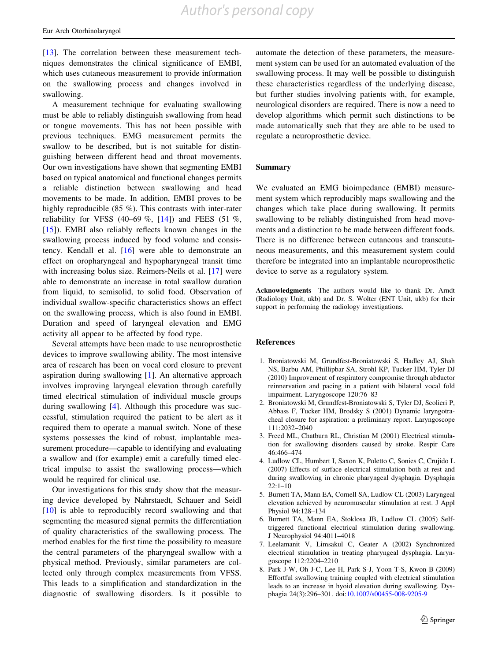<span id="page-6-0"></span>[\[13](#page-7-0)]. The correlation between these measurement techniques demonstrates the clinical significance of EMBI, which uses cutaneous measurement to provide information on the swallowing process and changes involved in swallowing.

A measurement technique for evaluating swallowing must be able to reliably distinguish swallowing from head or tongue movements. This has not been possible with previous techniques. EMG measurement permits the swallow to be described, but is not suitable for distinguishing between different head and throat movements. Our own investigations have shown that segmenting EMBI based on typical anatomical and functional changes permits a reliable distinction between swallowing and head movements to be made. In addition, EMBI proves to be highly reproducible (85 %). This contrasts with inter-rater reliability for VFSS (40–69 %, [[14\]](#page-7-0)) and FEES (51 %, [\[15](#page-7-0)]). EMBI also reliably reflects known changes in the swallowing process induced by food volume and consistency. Kendall et al. [[16\]](#page-7-0) were able to demonstrate an effect on oropharyngeal and hypopharyngeal transit time with increasing bolus size. Reimers-Neils et al. [[17\]](#page-7-0) were able to demonstrate an increase in total swallow duration from liquid, to semisolid, to solid food. Observation of individual swallow-specific characteristics shows an effect on the swallowing process, which is also found in EMBI. Duration and speed of laryngeal elevation and EMG activity all appear to be affected by food type.

Several attempts have been made to use neuroprosthetic devices to improve swallowing ability. The most intensive area of research has been on vocal cord closure to prevent aspiration during swallowing [1]. An alternative approach involves improving laryngeal elevation through carefully timed electrical stimulation of individual muscle groups during swallowing [4]. Although this procedure was successful, stimulation required the patient to be alert as it required them to operate a manual switch. None of these systems possesses the kind of robust, implantable measurement procedure—capable to identifying and evaluating a swallow and (for example) emit a carefully timed electrical impulse to assist the swallowing process—which would be required for clinical use.

Our investigations for this study show that the measuring device developed by Nahrstaedt, Schauer and Seidl [\[10](#page-7-0)] is able to reproducibly record swallowing and that segmenting the measured signal permits the differentiation of quality characteristics of the swallowing process. The method enables for the first time the possibility to measure the central parameters of the pharyngeal swallow with a physical method. Previously, similar parameters are collected only through complex measurements from VFSS. This leads to a simplification and standardization in the diagnostic of swallowing disorders. Is it possible to

automate the detection of these parameters, the measurement system can be used for an automated evaluation of the swallowing process. It may well be possible to distinguish these characteristics regardless of the underlying disease, but further studies involving patients with, for example, neurological disorders are required. There is now a need to develop algorithms which permit such distinctions to be made automatically such that they are able to be used to regulate a neuroprosthetic device.

## Summary

We evaluated an EMG bioimpedance (EMBI) measurement system which reproducibly maps swallowing and the changes which take place during swallowing. It permits swallowing to be reliably distinguished from head movements and a distinction to be made between different foods. There is no difference between cutaneous and transcutaneous measurements, and this measurement system could therefore be integrated into an implantable neuroprosthetic device to serve as a regulatory system.

Acknowledgments The authors would like to thank Dr. Arndt (Radiology Unit, ukb) and Dr. S. Wolter (ENT Unit, ukb) for their support in performing the radiology investigations.

#### References

- 1. Broniatowski M, Grundfest-Broniatowski S, Hadley AJ, Shah NS, Barbu AM, Phillipbar SA, Strohl KP, Tucker HM, Tyler DJ (2010) Improvement of respiratory compromise through abductor reinnervation and pacing in a patient with bilateral vocal fold impairment. Laryngoscope 120:76–83
- 2. Broniatowski M, Grundfest-Broniatowski S, Tyler DJ, Scolieri P, Abbass F, Tucker HM, Brodsky S (2001) Dynamic laryngotracheal closure for aspiration: a preliminary report. Laryngoscope 111:2032–2040
- 3. Freed ML, Chatburn RL, Christian M (2001) Electrical stimulation for swallowing disorders caused by stroke. Respir Care 46:466–474
- 4. Ludlow CL, Humbert I, Saxon K, Poletto C, Sonies C, Crujido L (2007) Effects of surface electrical stimulation both at rest and during swallowing in chronic pharyngeal dysphagia. Dysphagia 22:1–10
- 5. Burnett TA, Mann EA, Cornell SA, Ludlow CL (2003) Laryngeal elevation achieved by neuromuscular stimulation at rest. J Appl Physiol 94:128–134
- 6. Burnett TA, Mann EA, Stoklosa JB, Ludlow CL (2005) Selftriggered functional electrical stimulation during swallowing. J Neurophysiol 94:4011–4018
- 7. Leelamanit V, Limsakul C, Geater A (2002) Synchronized electrical stimulation in treating pharyngeal dysphagia. Laryngoscope 112:2204–2210
- 8. Park J-W, Oh J-C, Lee H, Park S-J, Yoon T-S, Kwon B (2009) Effortful swallowing training coupled with electrical stimulation leads to an increase in hyoid elevation during swallowing. Dysphagia 24(3):296–301. doi:[10.1007/s00455-008-9205-9](http://dx.doi.org/10.1007/s00455-008-9205-9)